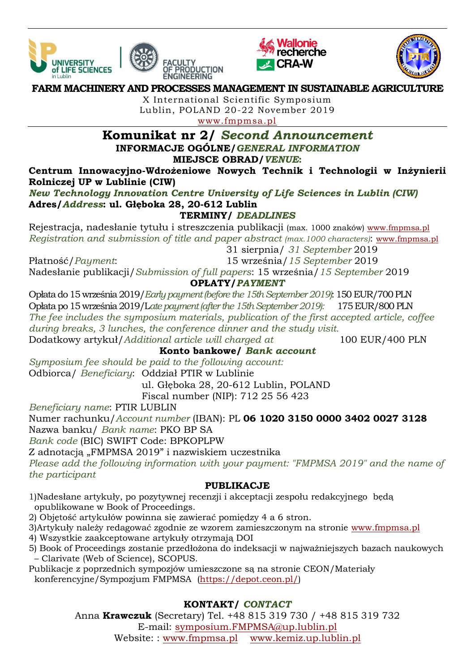





#### **FARM MACHINERY AND PROCESSES MANAGEMENT IN SUSTAINABLE AGRICULTURE**

**ENGINEERING** 

X International Scientific Symposium Lublin, POLAND 20-22 November 2019 [www.fmpmsa.pl](http://www.fmpmsa.pl/)

# **Komunikat nr 2/** *Second Announcement* **INFORMACJE OGÓLNE/***GENERAL INFORMATION* **MIEJSCE OBRAD/***VENUE***:**

**Centrum Innowacyjno-Wdrożeniowe Nowych Technik i Technologii w Inżynierii Rolniczej UP w Lublinie (CIW)** 

*New Technology Innovation Centre University of Life Sciences in Lublin (CIW)* **Adres/***Address***: ul. Głęboka 28, 20-612 Lublin**

# **TERMINY/** *DEADLINES*

Rejestracja, nadesłanie tytułu i streszczenia publikacji (max. 1000 znaków) [www.fmpmsa.pl](http://www.fmpmsa.pl/) *Registration and submission of title and paper abstract (max.1000 characters)*: [www.fmpmsa.pl](http://www.fmpmsa.pl/)

31 sierpnia/ *31 September* 2019

Płatność/*Payment*: 15 września/*15 September* 2019 Nadesłanie publikacji/*Submission of full papers*: 15 września/*15 September* 2019

# **OPŁATY/***PAYMENT*

Opłata do 15 września 2019/*Early payment (before the 15th September 2019)*: 150 EUR/700 PLN Opłata po 15 września 2019/L*ate payment (after the 15th September 2019):* 175 EUR/800 PLN *The fee includes the symposium materials, publication of the first accepted article, coffee during breaks, 3 lunches, the conference dinner and the study visit.* Dodatkowy artykuł/*Additional article will charged at* 100 EUR/400 PLN

**Konto bankowe/** *Bank account*

*Symposium fee should be paid to the following account:* Odbiorca/ *Beneficiary*: Oddział PTIR w Lublinie

ul. Głęboka 28, 20-612 Lublin, POLAND

Fiscal number (NIP): 712 25 56 423

*Beneficiary name*: PTIR LUBLIN

Numer rachunku/*Account number* (IBAN): PL **06 1020 3150 0000 3402 0027 3128** Nazwa banku/ *Bank name*: PKO BP SA

*Bank code* (BIC) SWIFT Code: BPKOPLPW

Z adnotacją "FMPMSA 2019" i nazwiskiem uczestnika

*Please add the following information with your payment: "FMPMSA 2019" and the name of the participant*

# **PUBLIKACJE**

1)Nadesłane artykuły, po pozytywnej recenzji i akceptacji zespołu redakcyjnego będą opublikowane w Book of Proceedings.

2) Objętość artykułów powinna się zawierać pomiędzy 4 a 6 stron.

3)Artykuły należy redagować zgodnie ze wzorem zamieszczonym na stronie [www.fmpmsa.pl](http://www.fmpmsa.pl/)

- 4) Wszystkie zaakceptowane artykuły otrzymają DOI
- 5) Book of Proceedings zostanie przedłożona do indeksacji w najważniejszych bazach naukowych – Clarivate (Web of Science), SCOPUS.
- Publikacje z poprzednich sympozjów umieszczone są na stronie CEON/Materiały konferencyjne/Sympozjum FMPMSA [\(https://depot.ceon.pl/\)](https://depot.ceon.pl/)

# **KONTAKT/** *CONTACT*

Anna **Krawczuk** (Secretary) Tel. +48 815 319 730 / +48 815 319 732 E-mail: [symposium.FMPMSA@up.lublin.pl](mailto:symposium.FMPMSA@up.lublin.pl) Website: : [www.fmpmsa.pl](http://www.fmpmsa.pl/) [www.kemiz.up.lublin.pl](http://www.kemiz.up.lublin.pl/)